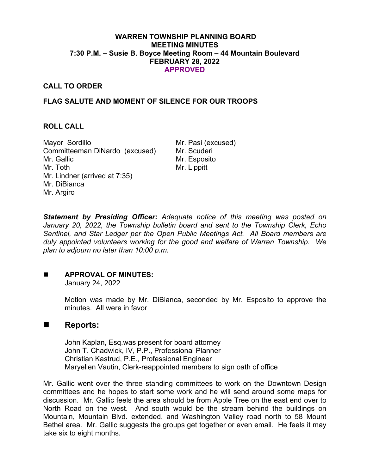#### **WARREN TOWNSHIP PLANNING BOARD MEETING MINUTES 7:30 P.M. – Susie B. Boyce Meeting Room – 44 Mountain Boulevard FEBRUARY 28, 2022 APPROVED**

# **CALL TO ORDER**

# **FLAG SALUTE AND MOMENT OF SILENCE FOR OUR TROOPS**

#### **ROLL CALL**

Mayor Sordillo Mr. Pasi (excused) Committeeman DiNardo (excused) Mr. Scuderi Mr. Gallic Mr. Toth Mr. Lindner (arrived at 7:35) Mr. DiBianca Mr. Argiro

Mr. Esposito Mr. Lippitt

*Statement by Presiding Officer: Adequate notice of this meeting was posted on January 20, 2022, the Township bulletin board and sent to the Township Clerk, Echo Sentinel, and Star Ledger per the Open Public Meetings Act. All Board members are duly appointed volunteers working for the good and welfare of Warren Township. We plan to adjourn no later than 10:00 p.m.*

# **APPROVAL OF MINUTES:**

January 24, 2022

Motion was made by Mr. DiBianca, seconded by Mr. Esposito to approve the minutes. All were in favor

# ■ Reports:

John Kaplan, Esq.was present for board attorney John T. Chadwick, IV, P.P., Professional Planner Christian Kastrud, P.E., Professional Engineer Maryellen Vautin, Clerk-reappointed members to sign oath of office

Mr. Gallic went over the three standing committees to work on the Downtown Design committees and he hopes to start some work and he will send around some maps for discussion. Mr. Gallic feels the area should be from Apple Tree on the east end over to North Road on the west. And south would be the stream behind the buildings on Mountain, Mountain Blvd. extended, and Washington Valley road north to 58 Mount Bethel area. Mr. Gallic suggests the groups get together or even email. He feels it may take six to eight months.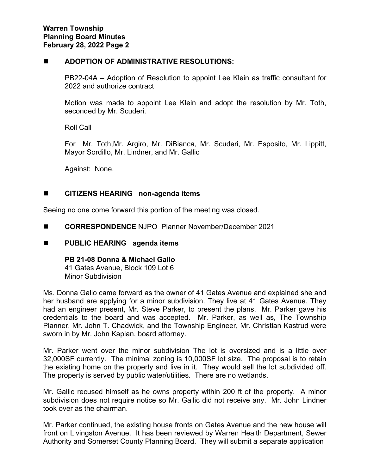#### **ADOPTION OF ADMINISTRATIVE RESOLUTIONS:**

PB22-04A – Adoption of Resolution to appoint Lee Klein as traffic consultant for 2022 and authorize contract

Motion was made to appoint Lee Klein and adopt the resolution by Mr. Toth, seconded by Mr. Scuderi.

Roll Call

For Mr. Toth,Mr. Argiro, Mr. DiBianca, Mr. Scuderi, Mr. Esposito, Mr. Lippitt, Mayor Sordillo, Mr. Lindner, and Mr. Gallic

Against: None.

# **CITIZENS HEARING non-agenda items**

Seeing no one come forward this portion of the meeting was closed.

- **CORRESPONDENCE** NJPO Planner November/December 2021
- **PUBLIC HEARING agenda items**

**PB 21-08 Donna & Michael Gallo** 41 Gates Avenue, Block 109 Lot 6 Minor Subdivision

Ms. Donna Gallo came forward as the owner of 41 Gates Avenue and explained she and her husband are applying for a minor subdivision. They live at 41 Gates Avenue. They had an engineer present, Mr. Steve Parker, to present the plans. Mr. Parker gave his credentials to the board and was accepted. Mr. Parker, as well as, The Township Planner, Mr. John T. Chadwick, and the Township Engineer, Mr. Christian Kastrud were sworn in by Mr. John Kaplan, board attorney.

Mr. Parker went over the minor subdivision The lot is oversized and is a little over 32,000SF currently. The minimal zoning is 10,000SF lot size. The proposal is to retain the existing home on the property and live in it. They would sell the lot subdivided off. The property is served by public water/utilities. There are no wetlands.

Mr. Gallic recused himself as he owns property within 200 ft of the property. A minor subdivision does not require notice so Mr. Gallic did not receive any. Mr. John Lindner took over as the chairman.

Mr. Parker continued, the existing house fronts on Gates Avenue and the new house will front on Livingston Avenue. It has been reviewed by Warren Health Department, Sewer Authority and Somerset County Planning Board. They will submit a separate application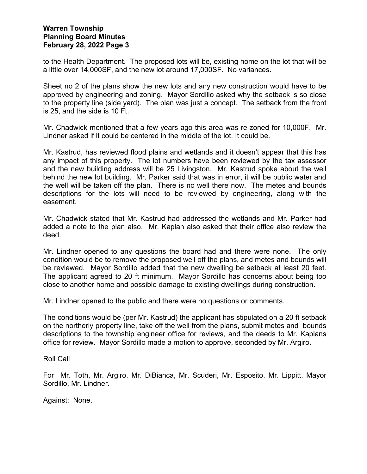to the Health Department. The proposed lots will be, existing home on the lot that will be a little over 14,000SF, and the new lot around 17,000SF. No variances.

Sheet no 2 of the plans show the new lots and any new construction would have to be approved by engineering and zoning. Mayor Sordillo asked why the setback is so close to the property line (side yard). The plan was just a concept. The setback from the front is 25, and the side is 10 Ft.

Mr. Chadwick mentioned that a few years ago this area was re-zoned for 10,000F. Mr. Lindner asked if it could be centered in the middle of the lot. It could be.

Mr. Kastrud, has reviewed flood plains and wetlands and it doesn't appear that this has any impact of this property. The lot numbers have been reviewed by the tax assessor and the new building address will be 25 Livingston. Mr. Kastrud spoke about the well behind the new lot building. Mr. Parker said that was in error, it will be public water and the well will be taken off the plan. There is no well there now. The metes and bounds descriptions for the lots will need to be reviewed by engineering, along with the easement.

Mr. Chadwick stated that Mr. Kastrud had addressed the wetlands and Mr. Parker had added a note to the plan also. Mr. Kaplan also asked that their office also review the deed.

Mr. Lindner opened to any questions the board had and there were none. The only condition would be to remove the proposed well off the plans, and metes and bounds will be reviewed. Mayor Sordillo added that the new dwelling be setback at least 20 feet. The applicant agreed to 20 ft minimum. Mayor Sordillo has concerns about being too close to another home and possible damage to existing dwellings during construction.

Mr. Lindner opened to the public and there were no questions or comments.

The conditions would be (per Mr. Kastrud) the applicant has stipulated on a 20 ft setback on the northerly property line, take off the well from the plans, submit metes and bounds descriptions to the township engineer office for reviews, and the deeds to Mr. Kaplans office for review. Mayor Sordillo made a motion to approve, seconded by Mr. Argiro.

Roll Call

For Mr. Toth, Mr. Argiro, Mr. DiBianca, Mr. Scuderi, Mr. Esposito, Mr. Lippitt, Mayor Sordillo, Mr. Lindner.

Against: None.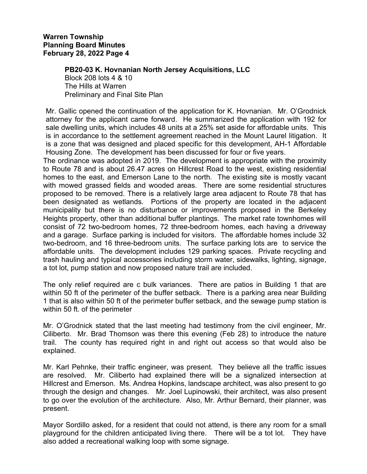#### **PB20-03 K. Hovnanian North Jersey Acquisitions, LLC**

Block 208 lots 4 & 10 The Hills at Warren Preliminary and Final Site Plan

Mr. Gallic opened the continuation of the application for K. Hovnanian. Mr. O'Grodnick attorney for the applicant came forward. He summarized the application with 192 for sale dwelling units, which includes 48 units at a 25% set aside for affordable units. This is in accordance to the settlement agreement reached in the Mount Laurel litigation. It is a zone that was designed and placed specific for this development, AH-1 Affordable Housing Zone. The development has been discussed for four or five years.

The ordinance was adopted in 2019. The development is appropriate with the proximity to Route 78 and is about 26.47 acres on Hillcrest Road to the west, existing residential homes to the east, and Emerson Lane to the north. The existing site is mostly vacant with mowed grassed fields and wooded areas. There are some residential structures proposed to be removed. There is a relatively large area adjacent to Route 78 that has been designated as wetlands. Portions of the property are located in the adjacent municipality but there is no disturbance or improvements proposed in the Berkeley Heights property, other than additional buffer plantings. The market rate townhomes will consist of 72 two-bedroom homes, 72 three-bedroom homes, each having a driveway and a garage. Surface parking is included for visitors. The affordable homes include 32 two-bedroom, and 16 three-bedroom units. The surface parking lots are to service the affordable units. The development includes 129 parking spaces. Private recycling and trash hauling and typical accessories including storm water, sidewalks, lighting, signage, a tot lot, pump station and now proposed nature trail are included.

The only relief required are c bulk variances. There are patios in Building 1 that are within 50 ft of the perimeter of the buffer setback. There is a parking area near Building 1 that is also within 50 ft of the perimeter buffer setback, and the sewage pump station is within 50 ft. of the perimeter

Mr. O'Grodnick stated that the last meeting had testimony from the civil engineer, Mr. Ciliberto. Mr. Brad Thomson was there this evening (Feb 28) to introduce the nature trail. The county has required right in and right out access so that would also be explained.

Mr. Karl Pehnke, their traffic engineer, was present. They believe all the traffic issues are resolved. Mr. Ciliberto had explained there will be a signalized intersection at Hillcrest and Emerson. Ms. Andrea Hopkins, landscape architect, was also present to go through the design and changes. Mr. Joel Lupinowski, their architect, was also present to go over the evolution of the architecture. Also, Mr. Arthur Bernard, their planner, was present.

Mayor Sordillo asked, for a resident that could not attend, is there any room for a small playground for the children anticipated living there. There will be a tot lot. They have also added a recreational walking loop with some signage.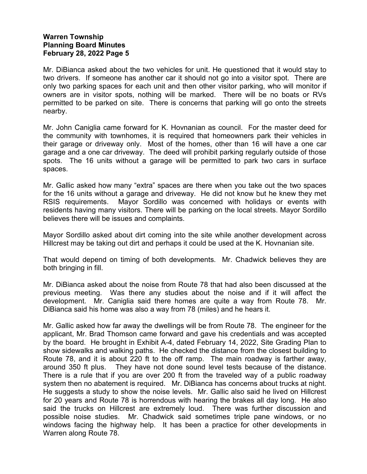Mr. DiBianca asked about the two vehicles for unit. He questioned that it would stay to two drivers. If someone has another car it should not go into a visitor spot. There are only two parking spaces for each unit and then other visitor parking, who will monitor if owners are in visitor spots, nothing will be marked. There will be no boats or RVs permitted to be parked on site. There is concerns that parking will go onto the streets nearby.

Mr. John Caniglia came forward for K. Hovnanian as council. For the master deed for the community with townhomes, it is required that homeowners park their vehicles in their garage or driveway only. Most of the homes, other than 16 will have a one car garage and a one car driveway. The deed will prohibit parking regularly outside of those spots. The 16 units without a garage will be permitted to park two cars in surface spaces.

Mr. Gallic asked how many "extra" spaces are there when you take out the two spaces for the 16 units without a garage and driveway. He did not know but he knew they met RSIS requirements. Mayor Sordillo was concerned with holidays or events with residents having many visitors. There will be parking on the local streets. Mayor Sordillo believes there will be issues and complaints.

Mayor Sordillo asked about dirt coming into the site while another development across Hillcrest may be taking out dirt and perhaps it could be used at the K. Hovnanian site.

That would depend on timing of both developments. Mr. Chadwick believes they are both bringing in fill.

Mr. DiBianca asked about the noise from Route 78 that had also been discussed at the previous meeting. Was there any studies about the noise and if it will affect the development. Mr. Caniglia said there homes are quite a way from Route 78. Mr. DiBianca said his home was also a way from 78 (miles) and he hears it.

Mr. Gallic asked how far away the dwellings will be from Route 78. The engineer for the applicant, Mr. Brad Thomson came forward and gave his credentials and was accepted by the board. He brought in Exhibit A-4, dated February 14, 2022, Site Grading Plan to show sidewalks and walking paths. He checked the distance from the closest building to Route 78, and it is about 220 ft to the off ramp. The main roadway is farther away, around 350 ft plus. They have not done sound level tests because of the distance. There is a rule that if you are over 200 ft from the traveled way of a public roadway system then no abatement is required. Mr. DiBianca has concerns about trucks at night. He suggests a study to show the noise levels. Mr. Gallic also said he lived on Hillcrest for 20 years and Route 78 is horrendous with hearing the brakes all day long. He also said the trucks on Hillcrest are extremely loud. There was further discussion and possible noise studies. Mr. Chadwick said sometimes triple pane windows, or no windows facing the highway help. It has been a practice for other developments in Warren along Route 78.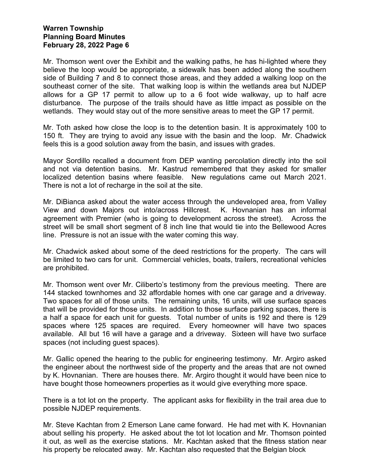Mr. Thomson went over the Exhibit and the walking paths, he has hi-lighted where they believe the loop would be appropriate, a sidewalk has been added along the southern side of Building 7 and 8 to connect those areas, and they added a walking loop on the southeast corner of the site. That walking loop is within the wetlands area but NJDEP allows for a GP 17 permit to allow up to a 6 foot wide walkway, up to half acre disturbance. The purpose of the trails should have as little impact as possible on the wetlands. They would stay out of the more sensitive areas to meet the GP 17 permit.

Mr. Toth asked how close the loop is to the detention basin. It is approximately 100 to 150 ft. They are trying to avoid any issue with the basin and the loop. Mr. Chadwick feels this is a good solution away from the basin, and issues with grades.

Mayor Sordillo recalled a document from DEP wanting percolation directly into the soil and not via detention basins. Mr. Kastrud remembered that they asked for smaller localized detention basins where feasible. New regulations came out March 2021. There is not a lot of recharge in the soil at the site.

Mr. DiBianca asked about the water access through the undeveloped area, from Valley View and down Majors out into/across Hillcrest. K. Hovnanian has an informal agreement with Premier (who is going to development across the street). Across the street will be small short segment of 8 inch line that would tie into the Bellewood Acres line. Pressure is not an issue with the water coming this way.

Mr. Chadwick asked about some of the deed restrictions for the property. The cars will be limited to two cars for unit. Commercial vehicles, boats, trailers, recreational vehicles are prohibited.

Mr. Thomson went over Mr. Ciliberto's testimony from the previous meeting. There are 144 stacked townhomes and 32 affordable homes with one car garage and a driveway. Two spaces for all of those units. The remaining units, 16 units, will use surface spaces that will be provided for those units. In addition to those surface parking spaces, there is a half a space for each unit for guests. Total number of units is 192 and there is 129 spaces where 125 spaces are required. Every homeowner will have two spaces available. All but 16 will have a garage and a driveway. Sixteen will have two surface spaces (not including guest spaces).

Mr. Gallic opened the hearing to the public for engineering testimony. Mr. Argiro asked the engineer about the northwest side of the property and the areas that are not owned by K. Hovnanian. There are houses there. Mr. Argiro thought it would have been nice to have bought those homeowners properties as it would give everything more space.

There is a tot lot on the property. The applicant asks for flexibility in the trail area due to possible NJDEP requirements.

Mr. Steve Kachtan from 2 Emerson Lane came forward. He had met with K. Hovnanian about selling his property. He asked about the tot lot location and Mr. Thomson pointed it out, as well as the exercise stations. Mr. Kachtan asked that the fitness station near his property be relocated away. Mr. Kachtan also requested that the Belgian block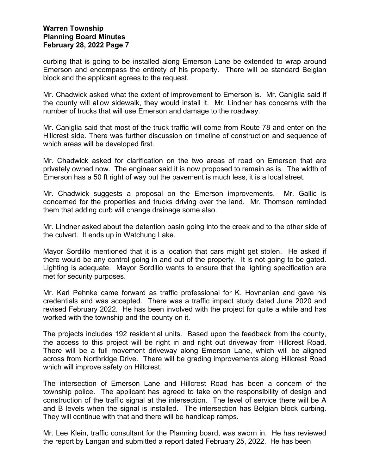curbing that is going to be installed along Emerson Lane be extended to wrap around Emerson and encompass the entirety of his property. There will be standard Belgian block and the applicant agrees to the request.

Mr. Chadwick asked what the extent of improvement to Emerson is. Mr. Caniglia said if the county will allow sidewalk, they would install it. Mr. Lindner has concerns with the number of trucks that will use Emerson and damage to the roadway.

Mr. Caniglia said that most of the truck traffic will come from Route 78 and enter on the Hillcrest side. There was further discussion on timeline of construction and sequence of which areas will be developed first.

Mr. Chadwick asked for clarification on the two areas of road on Emerson that are privately owned now. The engineer said it is now proposed to remain as is. The width of Emerson has a 50 ft right of way but the pavement is much less, it is a local street.

Mr. Chadwick suggests a proposal on the Emerson improvements. Mr. Gallic is concerned for the properties and trucks driving over the land. Mr. Thomson reminded them that adding curb will change drainage some also.

Mr. Lindner asked about the detention basin going into the creek and to the other side of the culvert. It ends up in Watchung Lake.

Mayor Sordillo mentioned that it is a location that cars might get stolen. He asked if there would be any control going in and out of the property. It is not going to be gated. Lighting is adequate. Mayor Sordillo wants to ensure that the lighting specification are met for security purposes.

Mr. Karl Pehnke came forward as traffic professional for K. Hovnanian and gave his credentials and was accepted. There was a traffic impact study dated June 2020 and revised February 2022. He has been involved with the project for quite a while and has worked with the township and the county on it.

The projects includes 192 residential units. Based upon the feedback from the county, the access to this project will be right in and right out driveway from Hillcrest Road. There will be a full movement driveway along Emerson Lane, which will be aligned across from Northridge Drive. There will be grading improvements along Hillcrest Road which will improve safety on Hillcrest.

The intersection of Emerson Lane and Hillcrest Road has been a concern of the township police. The applicant has agreed to take on the responsibility of design and construction of the traffic signal at the intersection. The level of service there will be A and B levels when the signal is installed. The intersection has Belgian block curbing. They will continue with that and there will be handicap ramps.

Mr. Lee Klein, traffic consultant for the Planning board, was sworn in. He has reviewed the report by Langan and submitted a report dated February 25, 2022. He has been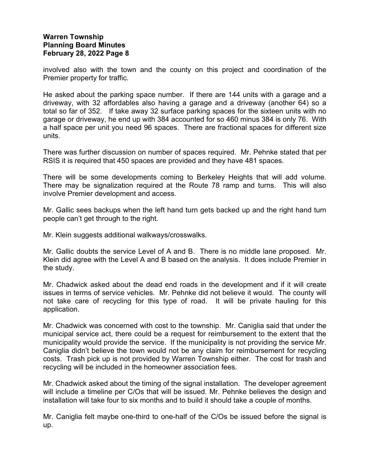involved also with the town and the county on this project and coordination of the Premier property for traffic.

He asked about the parking space number. If there are 144 units with a garage and a driveway, with 32 affordables also having a garage and a driveway (another 64) so a total so far of 352. If take away 32 surface parking spaces for the sixteen units with no garage or driveway, he end up with 384 accounted for so 460 minus 384 is only 76. With a half space per unit you need 96 spaces. There are fractional spaces for different size units.

There was further discussion on number of spaces required. Mr. Pehnke stated that per RSIS it is required that 450 spaces are provided and they have 481 spaces.

There will be some developments coming to Berkeley Heights that will add volume. There may be signalization required at the Route 78 ramp and turns. This will also involve Premier development and access.

Mr. Gallic sees backups when the left hand turn gets backed up and the right hand turn people can't get through to the right.

Mr. Klein suggests additional walkways/crosswalks.

Mr. Gallic doubts the service Level of A and B. There is no middle lane proposed. Mr. Klein did agree with the Level A and B based on the analysis. It does include Premier in the study.

Mr. Chadwick asked about the dead end roads in the development and if it will create issues in terms of service vehicles. Mr. Pehnke did not believe it would. The county will not take care of recycling for this type of road. It will be private hauling for this application.

Mr. Chadwick was concerned with cost to the township. Mr. Caniglia said that under the municipal service act, there could be a request for reimbursement to the extent that the municipality would provide the service. If the municipality is not providing the service Mr. Caniglia didn't believe the town would not be any claim for reimbursement for recycling costs. Trash pick up is not provided by Warren Township either. The cost for trash and recycling will be included in the homeowner association fees.

Mr. Chadwick asked about the timing of the signal installation. The developer agreement will include a timeline per C/Os that will be issued. Mr. Pehnke believes the design and installation will take four to six months and to build it should take a couple of months.

Mr. Caniglia felt maybe one-third to one-half of the C/Os be issued before the signal is up.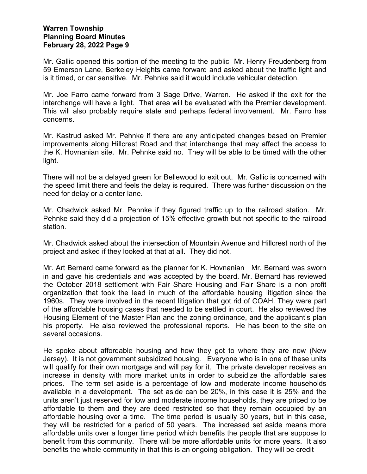Mr. Gallic opened this portion of the meeting to the public Mr. Henry Freudenberg from 59 Emerson Lane, Berkeley Heights came forward and asked about the traffic light and is it timed, or car sensitive. Mr. Pehnke said it would include vehicular detection.

Mr. Joe Farro came forward from 3 Sage Drive, Warren. He asked if the exit for the interchange will have a light. That area will be evaluated with the Premier development. This will also probably require state and perhaps federal involvement. Mr. Farro has concerns.

Mr. Kastrud asked Mr. Pehnke if there are any anticipated changes based on Premier improvements along Hillcrest Road and that interchange that may affect the access to the K. Hovnanian site. Mr. Pehnke said no. They will be able to be timed with the other light.

There will not be a delayed green for Bellewood to exit out. Mr. Gallic is concerned with the speed limit there and feels the delay is required. There was further discussion on the need for delay or a center lane.

Mr. Chadwick asked Mr. Pehnke if they figured traffic up to the railroad station. Mr. Pehnke said they did a projection of 15% effective growth but not specific to the railroad station.

Mr. Chadwick asked about the intersection of Mountain Avenue and Hillcrest north of the project and asked if they looked at that at all. They did not.

Mr. Art Bernard came forward as the planner for K. Hovnanian Mr. Bernard was sworn in and gave his credentials and was accepted by the board. Mr. Bernard has reviewed the October 2018 settlement with Fair Share Housing and Fair Share is a non profit organization that took the lead in much of the affordable housing litigation since the 1960s. They were involved in the recent litigation that got rid of COAH. They were part of the affordable housing cases that needed to be settled in court. He also reviewed the Housing Element of the Master Plan and the zoning ordinance, and the applicant's plan his property. He also reviewed the professional reports. He has been to the site on several occasions.

He spoke about affordable housing and how they got to where they are now (New Jersey). It is not government subsidized housing. Everyone who is in one of these units will qualify for their own mortgage and will pay for it. The private developer receives an increase in density with more market units in order to subsidize the affordable sales prices. The term set aside is a percentage of low and moderate income households available in a development. The set aside can be 20%, in this case it is 25% and the units aren't just reserved for low and moderate income households, they are priced to be affordable to them and they are deed restricted so that they remain occupied by an affordable housing over a time. The time period is usually 30 years, but in this case, they will be restricted for a period of 50 years. The increased set aside means more affordable units over a longer time period which benefits the people that are suppose to benefit from this community. There will be more affordable units for more years. It also benefits the whole community in that this is an ongoing obligation. They will be credit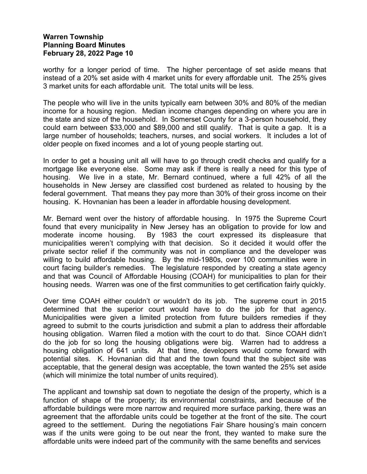worthy for a longer period of time. The higher percentage of set aside means that instead of a 20% set aside with 4 market units for every affordable unit. The 25% gives 3 market units for each affordable unit. The total units will be less.

The people who will live in the units typically earn between 30% and 80% of the median income for a housing region. Median income changes depending on where you are in the state and size of the household. In Somerset County for a 3-person household, they could earn between \$33,000 and \$89,000 and still qualify. That is quite a gap. It is a large number of households; teachers, nurses, and social workers. It includes a lot of older people on fixed incomes and a lot of young people starting out.

In order to get a housing unit all will have to go through credit checks and qualify for a mortgage like everyone else. Some may ask if there is really a need for this type of housing. We live in a state, Mr. Bernard continued, where a full 42% of all the households in New Jersey are classified cost burdened as related to housing by the federal government. That means they pay more than 30% of their gross income on their housing. K. Hovnanian has been a leader in affordable housing development.

Mr. Bernard went over the history of affordable housing. In 1975 the Supreme Court found that every municipality in New Jersey has an obligation to provide for low and moderate income housing. By 1983 the court expressed its displeasure that municipalities weren't complying with that decision. So it decided it would offer the private sector relief if the community was not in compliance and the developer was willing to build affordable housing. By the mid-1980s, over 100 communities were in court facing builder's remedies. The legislature responded by creating a state agency and that was Council of Affordable Housing (COAH) for municipalities to plan for their housing needs. Warren was one of the first communities to get certification fairly quickly.

Over time COAH either couldn't or wouldn't do its job. The supreme court in 2015 determined that the superior court would have to do the job for that agency. Municipalities were given a limited protection from future builders remedies if they agreed to submit to the courts jurisdiction and submit a plan to address their affordable housing obligation. Warren filed a motion with the court to do that. Since COAH didn't do the job for so long the housing obligations were big. Warren had to address a housing obligation of 641 units. At that time, developers would come forward with potential sites. K. Hovnanian did that and the town found that the subject site was acceptable, that the general design was acceptable, the town wanted the 25% set aside (which will minimize the total number of units required).

The applicant and township sat down to negotiate the design of the property, which is a function of shape of the property; its environmental constraints, and because of the affordable buildings were more narrow and required more surface parking, there was an agreement that the affordable units could be together at the front of the site. The court agreed to the settlement. During the negotiations Fair Share housing's main concern was if the units were going to be out near the front, they wanted to make sure the affordable units were indeed part of the community with the same benefits and services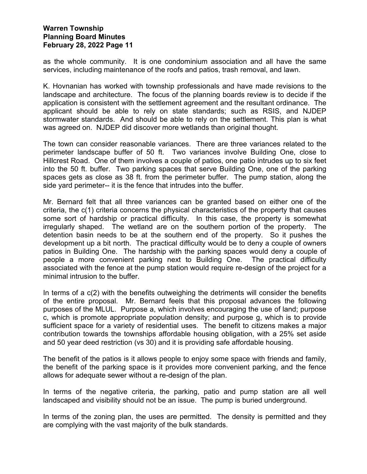as the whole community. It is one condominium association and all have the same services, including maintenance of the roofs and patios, trash removal, and lawn.

K. Hovnanian has worked with township professionals and have made revisions to the landscape and architecture. The focus of the planning boards review is to decide if the application is consistent with the settlement agreement and the resultant ordinance. The applicant should be able to rely on state standards; such as RSIS, and NJDEP stormwater standards. And should be able to rely on the settlement. This plan is what was agreed on. NJDEP did discover more wetlands than original thought.

The town can consider reasonable variances. There are three variances related to the perimeter landscape buffer of 50 ft. Two variances involve Building One, close to Hillcrest Road. One of them involves a couple of patios, one patio intrudes up to six feet into the 50 ft. buffer. Two parking spaces that serve Building One, one of the parking spaces gets as close as 38 ft. from the perimeter buffer. The pump station, along the side yard perimeter-- it is the fence that intrudes into the buffer.

Mr. Bernard felt that all three variances can be granted based on either one of the criteria, the c(1) criteria concerns the physical characteristics of the property that causes some sort of hardship or practical difficulty. In this case, the property is somewhat irregularly shaped. The wetland are on the southern portion of the property. The detention basin needs to be at the southern end of the property. So it pushes the development up a bit north. The practical difficulty would be to deny a couple of owners patios in Building One. The hardship with the parking spaces would deny a couple of people a more convenient parking next to Building One. The practical difficulty associated with the fence at the pump station would require re-design of the project for a minimal intrusion to the buffer.

In terms of a c(2) with the benefits outweighing the detriments will consider the benefits of the entire proposal. Mr. Bernard feels that this proposal advances the following purposes of the MLUL. Purpose a, which involves encouraging the use of land; purpose c, which is promote appropriate population density; and purpose g, which is to provide sufficient space for a variety of residential uses. The benefit to citizens makes a major contribution towards the townships affordable housing obligation, with a 25% set aside and 50 year deed restriction (vs 30) and it is providing safe affordable housing.

The benefit of the patios is it allows people to enjoy some space with friends and family, the benefit of the parking space is it provides more convenient parking, and the fence allows for adequate sewer without a re-design of the plan.

In terms of the negative criteria, the parking, patio and pump station are all well landscaped and visibility should not be an issue. The pump is buried underground.

In terms of the zoning plan, the uses are permitted. The density is permitted and they are complying with the vast majority of the bulk standards.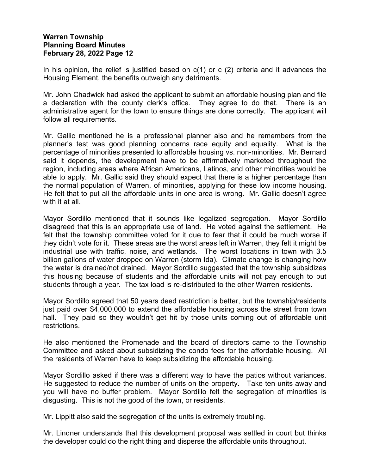In his opinion, the relief is justified based on  $c(1)$  or c  $(2)$  criteria and it advances the Housing Element, the benefits outweigh any detriments.

Mr. John Chadwick had asked the applicant to submit an affordable housing plan and file a declaration with the county clerk's office. They agree to do that. There is an administrative agent for the town to ensure things are done correctly. The applicant will follow all requirements.

Mr. Gallic mentioned he is a professional planner also and he remembers from the planner's test was good planning concerns race equity and equality. What is the percentage of minorities presented to affordable housing vs. non-minorities. Mr. Bernard said it depends, the development have to be affirmatively marketed throughout the region, including areas where African Americans, Latinos, and other minorities would be able to apply. Mr. Gallic said they should expect that there is a higher percentage than the normal population of Warren, of minorities, applying for these low income housing. He felt that to put all the affordable units in one area is wrong. Mr. Gallic doesn't agree with it at all

Mayor Sordillo mentioned that it sounds like legalized segregation. Mayor Sordillo disagreed that this is an appropriate use of land. He voted against the settlement. He felt that the township committee voted for it due to fear that it could be much worse if they didn't vote for it. These areas are the worst areas left in Warren, they felt it might be industrial use with traffic, noise, and wetlands. The worst locations in town with 3.5 billion gallons of water dropped on Warren (storm Ida). Climate change is changing how the water is drained/not drained. Mayor Sordillo suggested that the township subsidizes this housing because of students and the affordable units will not pay enough to put students through a year. The tax load is re-distributed to the other Warren residents.

Mayor Sordillo agreed that 50 years deed restriction is better, but the township/residents just paid over \$4,000,000 to extend the affordable housing across the street from town hall. They paid so they wouldn't get hit by those units coming out of affordable unit restrictions.

He also mentioned the Promenade and the board of directors came to the Township Committee and asked about subsidizing the condo fees for the affordable housing. All the residents of Warren have to keep subsidizing the affordable housing.

Mayor Sordillo asked if there was a different way to have the patios without variances. He suggested to reduce the number of units on the property. Take ten units away and you will have no buffer problem. Mayor Sordillo felt the segregation of minorities is disgusting. This is not the good of the town, or residents.

Mr. Lippitt also said the segregation of the units is extremely troubling.

Mr. Lindner understands that this development proposal was settled in court but thinks the developer could do the right thing and disperse the affordable units throughout.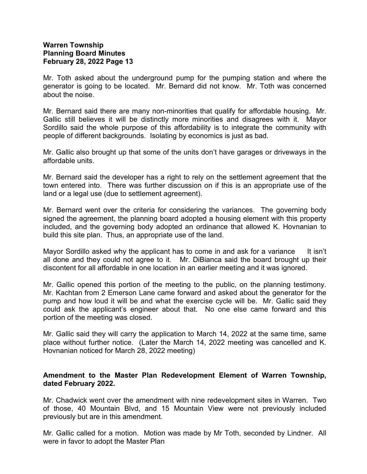Mr. Toth asked about the underground pump for the pumping station and where the generator is going to be located. Mr. Bernard did not know. Mr. Toth was concerned about the noise.

Mr. Bernard said there are many non-minorities that qualify for affordable housing. Mr. Gallic still believes it will be distinctly more minorities and disagrees with it. Mayor Sordillo said the whole purpose of this affordability is to integrate the community with people of different backgrounds. Isolating by economics is just as bad.

Mr. Gallic also brought up that some of the units don't have garages or driveways in the affordable units.

Mr. Bernard said the developer has a right to rely on the settlement agreement that the town entered into. There was further discussion on if this is an appropriate use of the land or a legal use (due to settlement agreement).

Mr. Bernard went over the criteria for considering the variances. The governing body signed the agreement, the planning board adopted a housing element with this property included, and the governing body adopted an ordinance that allowed K. Hovnanian to build this site plan. Thus, an appropriate use of the land.

Mayor Sordillo asked why the applicant has to come in and ask for a variance It isn't all done and they could not agree to it. Mr. DiBianca said the board brought up their discontent for all affordable in one location in an earlier meeting and it was ignored.

Mr. Gallic opened this portion of the meeting to the public, on the planning testimony. Mr. Kachtan from 2 Emerson Lane came forward and asked about the generator for the pump and how loud it will be and what the exercise cycle will be. Mr. Gallic said they could ask the applicant's engineer about that. No one else came forward and this portion of the meeting was closed.

Mr. Gallic said they will carry the application to March 14, 2022 at the same time, same place without further notice. (Later the March 14, 2022 meeting was cancelled and K. Hovnanian noticed for March 28, 2022 meeting)

#### **Amendment to the Master Plan Redevelopment Element of Warren Township, dated February 2022.**

Mr. Chadwick went over the amendment with nine redevelopment sites in Warren. Two of those, 40 Mountain Blvd, and 15 Mountain View were not previously included previously but are in this amendment.

Mr. Gallic called for a motion. Motion was made by Mr Toth, seconded by Lindner. All were in favor to adopt the Master Plan